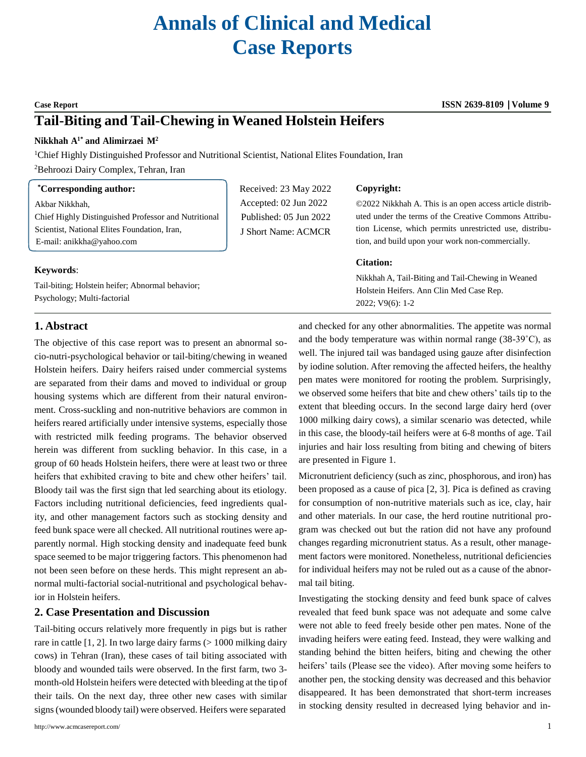# **Annals of Clinical and Medical Case Reports**

# **Tail-Biting and Tail-Chewing in Weaned Holstein Heifers**

#### **Nikkhah A1\* and Alimirzaei M<sup>2</sup>**

<sup>1</sup>Chief Highly Distinguished Professor and Nutritional Scientist, National Elites Foundation, Iran

<sup>2</sup>Behroozi Dairy Complex, Tehran, Iran

#### **\*Corresponding author:**

Psychology; Multi-factorial

Akbar Nikkhah, Chief Highly Distinguished Professor and Nutritional Scientist, National Elites Foundation, Iran, E-mail[: anikkha@yahoo.com](mailto:anikkha@yahoo.com)

Tail-biting; Holstein heifer; Abnormal behavior;

## Received: 23 May 2022 Accepted: 02 Jun 2022 Published: 05 Jun 2022 J Short Name: ACMCR

#### **Copyright:**

©2022 Nikkhah A. This is an open access article distributed under the terms of the Creative Commons Attribution License, which permits unrestricted use, distribution, and build upon your work non-commercially.

#### **Citation:**

Nikkhah A, Tail-Biting and Tail-Chewing in Weaned Holstein Heifers. Ann Clin Med Case Rep. 2022; V9(6): 1-2

### **1. Abstract**

**Keywords**:

The objective of this case report was to present an abnormal socio-nutri-psychological behavior or tail-biting/chewing in weaned Holstein heifers. Dairy heifers raised under commercial systems are separated from their dams and moved to individual or group housing systems which are different from their natural environment. Cross-suckling and non-nutritive behaviors are common in heifers reared artificially under intensive systems, especially those with restricted milk feeding programs. The behavior observed herein was different from suckling behavior. In this case, in a group of 60 heads Holstein heifers, there were at least two or three heifers that exhibited craving to bite and chew other heifers' tail. Bloody tail was the first sign that led searching about its etiology. Factors including nutritional deficiencies, feed ingredients quality, and other management factors such as stocking density and feed bunk space were all checked. All nutritional routines were apparently normal. High stocking density and inadequate feed bunk space seemed to be major triggering factors. This phenomenon had not been seen before on these herds. This might represent an abnormal multi-factorial social-nutritional and psychological behavior in Holstein heifers.

#### **2. Case Presentation and Discussion**

Tail-biting occurs relatively more frequently in pigs but is rather rare in cattle  $[1, 2]$ . In two large dairy farms  $(> 1000$  milking dairy cows) in Tehran (Iran), these cases of tail biting associated with bloody and wounded tails were observed. In the first farm, two 3 month-old Holstein heifers were detected with bleeding at the tipof their tails. On the next day, three other new cases with similar signs(wounded bloody tail) were observed. Heifers were separated

and checked for any other abnormalities. The appetite was normal and the body temperature was within normal range  $(38-39^{\circ}C)$ , as well. The injured tail was bandaged using gauze after disinfection by iodine solution. After removing the affected heifers, the healthy pen mates were monitored for rooting the problem. Surprisingly, we observed some heifers that bite and chew others' tails tip to the extent that bleeding occurs. In the second large dairy herd (over 1000 milking dairy cows), a similar scenario was detected, while in this case, the bloody-tail heifers were at 6-8 months of age. Tail injuries and hair loss resulting from biting and chewing of biters are presented in Figure 1.

Micronutrient deficiency (such as zinc, phosphorous, and iron) has been proposed as a cause of pica [2, 3]. Pica is defined as craving for consumption of non-nutritive materials such as ice, clay, hair and other materials. In our case, the herd routine nutritional program was checked out but the ration did not have any profound changes regarding micronutrient status. As a result, other management factors were monitored. Nonetheless, nutritional deficiencies for individual heifers may not be ruled out as a cause of the abnormal tail biting.

Investigating the stocking density and feed bunk space of calves revealed that feed bunk space was not adequate and some calve were not able to feed freely beside other pen mates. None of the invading heifers were eating feed. Instead, they were walking and standing behind the bitten heifers, biting and chewing the other heifers' tails (Please see the video). After moving some heifers to another pen, the stocking density was decreased and this behavior disappeared. It has been demonstrated that short-term increases in stocking density resulted in decreased lying behavior and in